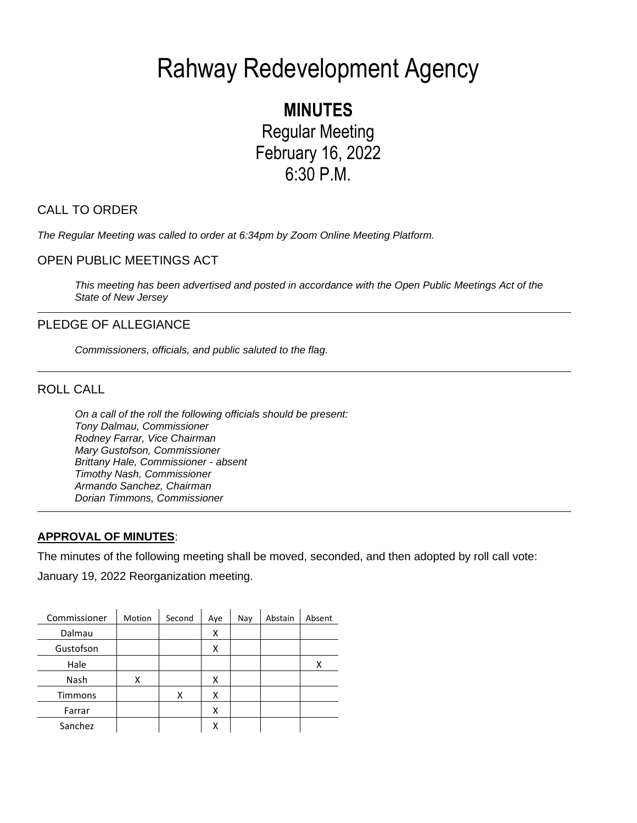# Rahway Redevelopment Agency

**MINUTES** Regular Meeting February 16, 2022 6:30 P.M.

# CALL TO ORDER

*The Regular Meeting was called to order at 6:34pm by Zoom Online Meeting Platform.* 

# OPEN PUBLIC MEETINGS ACT

*This meeting has been advertised and posted in accordance with the Open Public Meetings Act of the State of New Jersey*

# PLEDGE OF ALLEGIANCE

*Commissioners, officials, and public saluted to the flag.*

# ROLL CALL

*On a call of the roll the following officials should be present: Tony Dalmau, Commissioner Rodney Farrar, Vice Chairman Mary Gustofson, Commissioner Brittany Hale, Commissioner - absent Timothy Nash, Commissioner Armando Sanchez, Chairman Dorian Timmons, Commissioner*

## **APPROVAL OF MINUTES**:

The minutes of the following meeting shall be moved, seconded, and then adopted by roll call vote:

January 19, 2022 Reorganization meeting.

| Commissioner   | Motion | Second | Aye | Nay | Abstain | Absent |
|----------------|--------|--------|-----|-----|---------|--------|
| Dalmau         |        |        | Χ   |     |         |        |
| Gustofson      |        |        | x   |     |         |        |
| Hale           |        |        |     |     |         | х      |
| Nash           | χ      |        | χ   |     |         |        |
| <b>Timmons</b> |        | х      | x   |     |         |        |
| Farrar         |        |        | Χ   |     |         |        |
| Sanchez        |        |        | х   |     |         |        |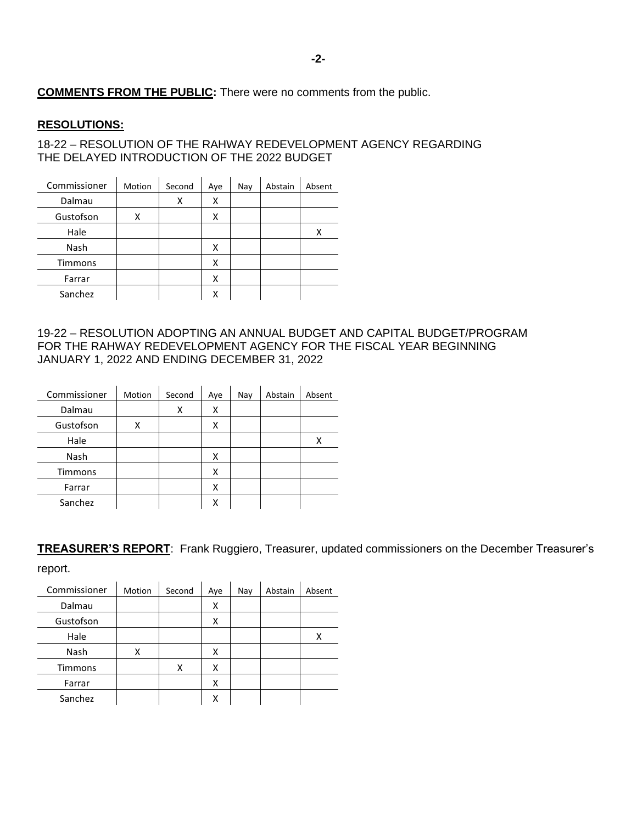# **COMMENTS FROM THE PUBLIC:** There were no comments from the public.

#### **RESOLUTIONS:**

18-22 – RESOLUTION OF THE RAHWAY REDEVELOPMENT AGENCY REGARDING THE DELAYED INTRODUCTION OF THE 2022 BUDGET

| Commissioner | Motion | Second | Aye | Nay | Abstain | Absent |
|--------------|--------|--------|-----|-----|---------|--------|
| Dalmau       |        | x      | x   |     |         |        |
| Gustofson    | χ      |        | х   |     |         |        |
| Hale         |        |        |     |     |         | Χ      |
| Nash         |        |        | x   |     |         |        |
| Timmons      |        |        | Χ   |     |         |        |
| Farrar       |        |        | Χ   |     |         |        |
| Sanchez      |        |        | х   |     |         |        |

### 19-22 – RESOLUTION ADOPTING AN ANNUAL BUDGET AND CAPITAL BUDGET/PROGRAM FOR THE RAHWAY REDEVELOPMENT AGENCY FOR THE FISCAL YEAR BEGINNING JANUARY 1, 2022 AND ENDING DECEMBER 31, 2022

| Commissioner   | Motion | Second | Aye | Nay | Abstain | Absent |
|----------------|--------|--------|-----|-----|---------|--------|
| Dalmau         |        | х      | х   |     |         |        |
| Gustofson      | χ      |        | χ   |     |         |        |
| Hale           |        |        |     |     |         | Χ      |
| Nash           |        |        | Χ   |     |         |        |
| <b>Timmons</b> |        |        | χ   |     |         |        |
| Farrar         |        |        | х   |     |         |        |
| Sanchez        |        |        | х   |     |         |        |

**TREASURER'S REPORT**: Frank Ruggiero, Treasurer, updated commissioners on the December Treasurer's

| r<br>г<br>r<br>. .<br>a. |  |
|--------------------------|--|
|--------------------------|--|

| Commissioner | Motion | Second | Aye | Nay | Abstain | Absent |
|--------------|--------|--------|-----|-----|---------|--------|
| Dalmau       |        |        | х   |     |         |        |
| Gustofson    |        |        | х   |     |         |        |
| Hale         |        |        |     |     |         | х      |
| Nash         | χ      |        | x   |     |         |        |
| Timmons      |        | x      | х   |     |         |        |
| Farrar       |        |        | Χ   |     |         |        |
| Sanchez      |        |        | χ   |     |         |        |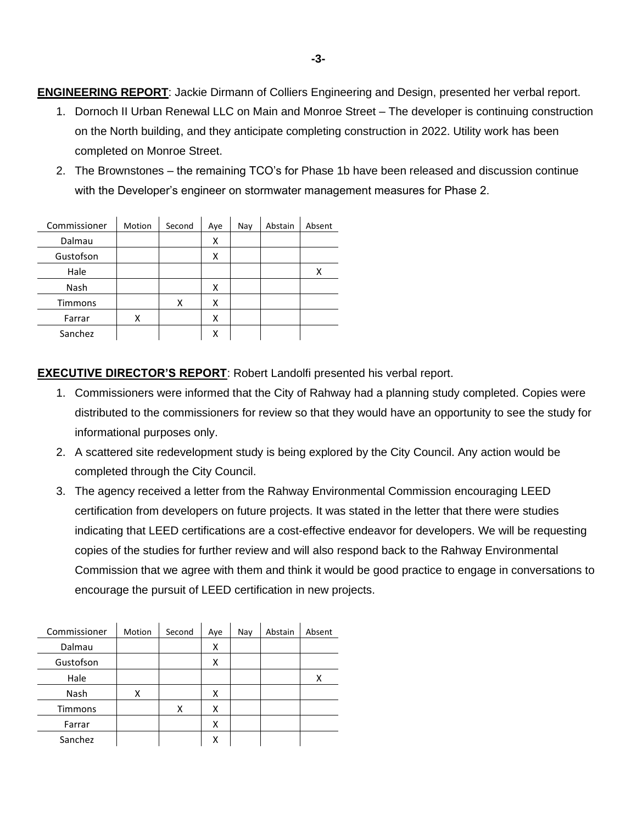**ENGINEERING REPORT**: Jackie Dirmann of Colliers Engineering and Design, presented her verbal report.

- 1. Dornoch II Urban Renewal LLC on Main and Monroe Street The developer is continuing construction on the North building, and they anticipate completing construction in 2022. Utility work has been completed on Monroe Street.
- 2. The Brownstones the remaining TCO's for Phase 1b have been released and discussion continue with the Developer's engineer on stormwater management measures for Phase 2.

| Commissioner | Motion | Second | Aye | Nay | Abstain | Absent |
|--------------|--------|--------|-----|-----|---------|--------|
| Dalmau       |        |        | х   |     |         |        |
| Gustofson    |        |        | х   |     |         |        |
| Hale         |        |        |     |     |         | х      |
| Nash         |        |        | x   |     |         |        |
| Timmons      |        | х      | х   |     |         |        |
| Farrar       | χ      |        | χ   |     |         |        |
| Sanchez      |        |        | Χ   |     |         |        |

**EXECUTIVE DIRECTOR'S REPORT**: Robert Landolfi presented his verbal report.

- 1. Commissioners were informed that the City of Rahway had a planning study completed. Copies were distributed to the commissioners for review so that they would have an opportunity to see the study for informational purposes only.
- 2. A scattered site redevelopment study is being explored by the City Council. Any action would be completed through the City Council.
- 3. The agency received a letter from the Rahway Environmental Commission encouraging LEED certification from developers on future projects. It was stated in the letter that there were studies indicating that LEED certifications are a cost-effective endeavor for developers. We will be requesting copies of the studies for further review and will also respond back to the Rahway Environmental Commission that we agree with them and think it would be good practice to engage in conversations to encourage the pursuit of LEED certification in new projects.

| Commissioner | Motion | Second | Aye | Nay | Abstain | Absent |
|--------------|--------|--------|-----|-----|---------|--------|
| Dalmau       |        |        | х   |     |         |        |
| Gustofson    |        |        | x   |     |         |        |
| Hale         |        |        |     |     |         | x      |
| Nash         | χ      |        | x   |     |         |        |
| Timmons      |        | χ      | x   |     |         |        |
| Farrar       |        |        | x   |     |         |        |
| Sanchez      |        |        | x   |     |         |        |